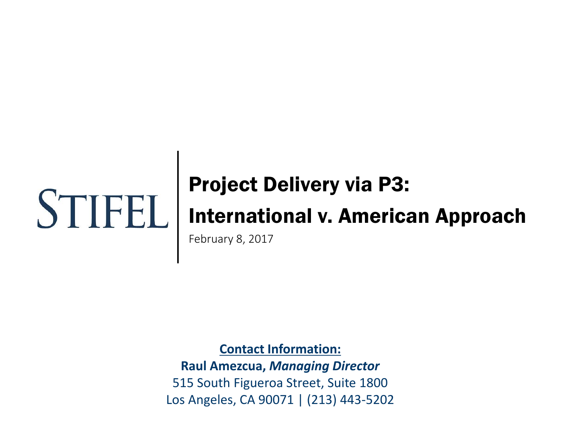# Project Delivery via P3:

# International v. American Approach

February 8, 2017

**Contact Information:**

**Raul Amezcua,** *Managing Director* 515 South Figueroa Street, Suite 1800 Los Angeles, CA 90071 | (213) 443-5202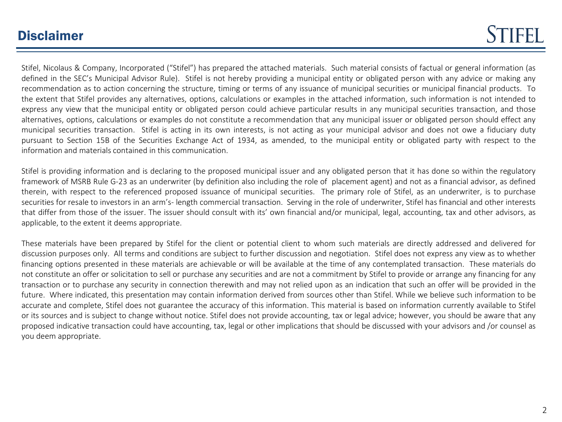## **Disclaimer**

Stifel, Nicolaus & Company, Incorporated ("Stifel") has prepared the attached materials. Such material consists of factual or general information (as defined in the SEC's Municipal Advisor Rule). Stifel is not hereby providing a municipal entity or obligated person with any advice or making any recommendation as to action concerning the structure, timing or terms of any issuance of municipal securities or municipal financial products. To the extent that Stifel provides any alternatives, options, calculations or examples in the attached information, such information is not intended to express any view that the municipal entity or obligated person could achieve particular results in any municipal securities transaction, and those alternatives, options, calculations or examples do not constitute a recommendation that any municipal issuer or obligated person should effect any municipal securities transaction. Stifel is acting in its own interests, is not acting as your municipal advisor and does not owe a fiduciary duty pursuant to Section 15B of the Securities Exchange Act of 1934, as amended, to the municipal entity or obligated party with respect to the information and materials contained in this communication.

Stifel is providing information and is declaring to the proposed municipal issuer and any obligated person that it has done so within the regulatory framework of MSRB Rule G-23 as an underwriter (by definition also including the role of placement agent) and not as a financial advisor, as defined therein, with respect to the referenced proposed issuance of municipal securities. The primary role of Stifel, as an underwriter, is to purchase securities for resale to investors in an arm's- length commercial transaction. Serving in the role of underwriter, Stifel has financial and other interests that differ from those of the issuer. The issuer should consult with its' own financial and/or municipal, legal, accounting, tax and other advisors, as applicable, to the extent it deems appropriate.

These materials have been prepared by Stifel for the client or potential client to whom such materials are directly addressed and delivered for discussion purposes only. All terms and conditions are subject to further discussion and negotiation. Stifel does not express any view as to whether financing options presented in these materials are achievable or will be available at the time of any contemplated transaction. These materials do not constitute an offer or solicitation to sell or purchase any securities and are not a commitment by Stifel to provide or arrange any financing for any transaction or to purchase any security in connection therewith and may not relied upon as an indication that such an offer will be provided in the future. Where indicated, this presentation may contain information derived from sources other than Stifel. While we believe such information to be accurate and complete, Stifel does not guarantee the accuracy of this information. This material is based on information currently available to Stifel or its sources and is subject to change without notice. Stifel does not provide accounting, tax or legal advice; however, you should be aware that any proposed indicative transaction could have accounting, tax, legal or other implications that should be discussed with your advisors and /or counsel as you deem appropriate.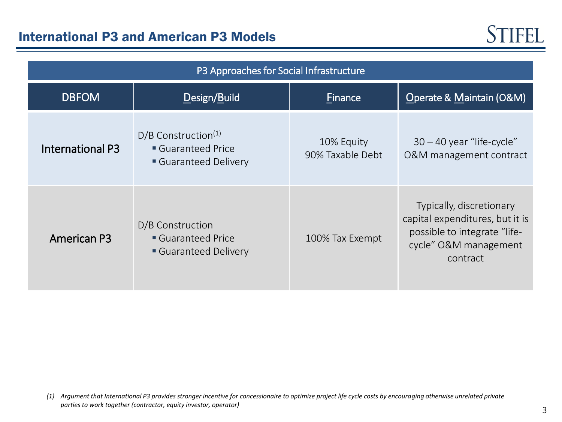| P3 Approaches for Social Infrastructure |                                                                              |                                |                                                                                                                                  |  |  |  |  |  |
|-----------------------------------------|------------------------------------------------------------------------------|--------------------------------|----------------------------------------------------------------------------------------------------------------------------------|--|--|--|--|--|
| <b>DBFOM</b>                            | Design/Build                                                                 | Einance                        | Operate & Maintain (O&M)                                                                                                         |  |  |  |  |  |
| <b>International P3</b>                 | $D/B$ Construction <sup>(1)</sup><br>Guaranteed Price<br>Guaranteed Delivery | 10% Equity<br>90% Taxable Debt | $30 - 40$ year "life-cycle"<br>O&M management contract                                                                           |  |  |  |  |  |
| <b>American P3</b>                      | D/B Construction<br>Guaranteed Price<br>Guaranteed Delivery                  | 100% Tax Exempt                | Typically, discretionary<br>capital expenditures, but it is<br>possible to integrate "life-<br>cycle" O&M management<br>contract |  |  |  |  |  |

*<sup>(1)</sup> Argument that International P3 provides stronger incentive for concessionaire to optimize project life cycle costs by encouraging otherwise unrelated private parties to work together (contractor, equity investor, operator)*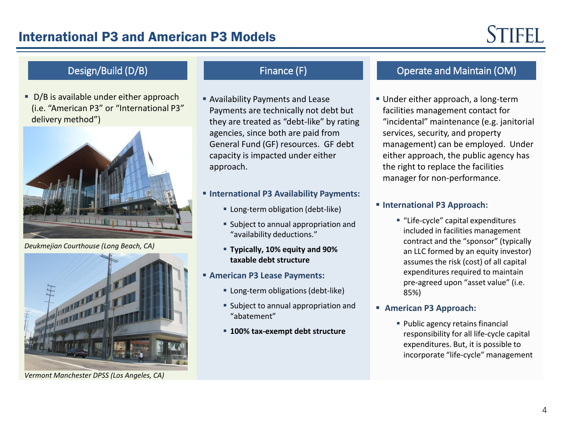# State and Design/Build (D/B) Finance (F)

D/B is available under either approach (i.e. "American P3" or "International P3" delivery method")



*Deukmejian Courthouse (Long Beach, CA)*



*Vermont Manchester DPSS (Los Angeles, CA)*

- Availability Payments and Lease Payments are technically not debt but they are treated as "debt-like" by rating agencies, since both are paid from General Fund (GF) resources. GF debt capacity is impacted under either approach.
- **International P3 Availability Payments:**
	- **EXEC** Long-term obligation (debt-like)
	- **Subject to annual appropriation and** "availability deductions."
	- **Typically, 10% equity and 90% taxable debt structure**
- **American P3 Lease Payments:**
	- **EXECUTE:** Long-term obligations (debt-like)
	- **Subject to annual appropriation and** "abatement"
	- **100% tax-exempt debt structure**

### Operate and Maintain (OM)

 Under either approach, a long-term facilities management contact for "incidental" maintenance (e.g. janitorial services, security, and property management) can be employed. Under either approach, the public agency has the right to replace the facilities manager for non-performance.

#### **International P3 Approach:**

- "Life-cycle" capital expenditures included in facilities management contract and the "sponsor" (typically an LLC formed by an equity investor) assumes the risk (cost) of all capital expenditures required to maintain pre-agreed upon "asset value" (i.e. 85%)
- **American P3 Approach:**
	- **Public agency retains financial** responsibility for all life-cycle capital expenditures. But, it is possible to incorporate "life-cycle" management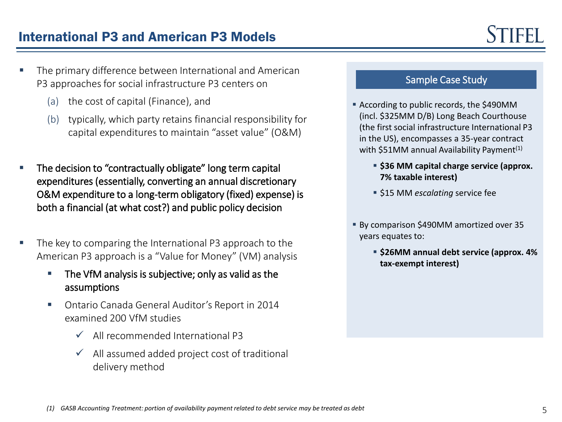## International P3 and American P3 Models

- The primary difference between International and American P3 approaches for social infrastructure P3 centers on
	- (a) the cost of capital (Finance), and
	- (b) typically, which party retains financial responsibility for capital expenditures to maintain "asset value" (O&M)
- The decision to "contractually obligate" long term capital expenditures (essentially, converting an annual discretionary O&M expenditure to a long-term obligatory (fixed) expense) is both a financial (at what cost?) and public policy decision
- The key to comparing the International P3 approach to the American P3 approach is a "Value for Money" (VM) analysis
	- **The VfM analysis is subjective; only as valid as the** assumptions
	- Ontario Canada General Auditor's Report in 2014 examined 200 VfM studies
		- $\checkmark$  All recommended International P3
		- $\checkmark$  All assumed added project cost of traditional delivery method

### Sample Case Study

- According to public records, the \$490MM (incl. \$325MM D/B) Long Beach Courthouse (the first social infrastructure International P3 in the US), encompasses a 35-year contract with  $$51MM$  annual Availability Payment<sup>(1)</sup>
	- **\$36 MM capital charge service (approx. 7% taxable interest)**
	- **515 MM** *escalating* service fee
- By comparison \$490MM amortized over 35 years equates to:
	- **\$26MM annual debt service (approx. 4% tax-exempt interest)**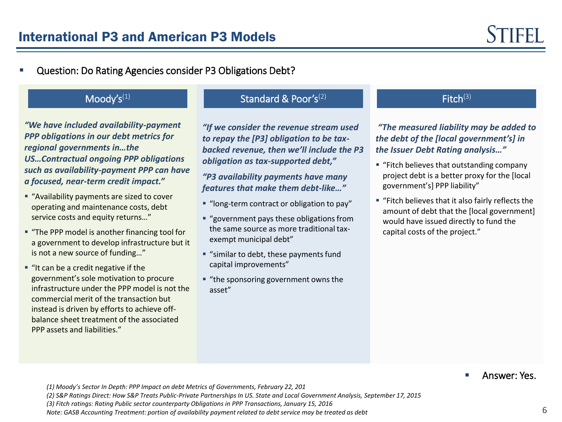Question: Do Rating Agencies consider P3 Obligations Debt?

### $Mody's^{(1)}$

l

 *"We have included availability-payment regional governments in…the US…Contractual ongoing PPP obligations a focused, near-term credit impact." PPP obligations in our debt metrics for such as availability-payment PPP can have* 

- "Availability payments are sized to cover service costs and equity returns…" operating and maintenance costs, debt
- "The PPP model is another financing tool for a government to acvelop imrast.<br>is not a new source of funding..." a government to develop infrastructure but it
- "It can be a credit negative if the infrastructure under the PPP model is not the government's sole motivation to procure commercial merit of the transaction but instead is driven by efforts to achieve offbalance sheet treatment of the associated PPP assets and liabilities."

### Standard & Poor's $(2)$

*"If we consider the revenue stream used to repay the [P3] obligation to be taxbacked revenue, then we'll include the P3 obligation as tax-supported debt,"*

*"P3 availability payments have many features that make them debt-like…"*

- "long-term contract or obligation to pay"
- "government pays these obligations from the same source as more traditional taxexempt municipal debt"
- "similar to debt, these payments fund capital improvements"
- "the sponsoring government owns the asset"

#### $Fitch<sup>(3)</sup>$

*"The measured liability may be added to the debt of the [local government's] in the Issuer Debt Rating analysis…"*

- "Fitch believes that outstanding company project debt is a better proxy for the [local government's] PPP liability"
- "Fitch believes that it also fairly reflects the amount of debt that the [local government] would have issued directly to fund the capital costs of the project."

Answer: Yes.

*(1) Moody's Sector In Depth: PPP Impact on debt Metrics of Governments, February 22, 201*

*(2) S&P Ratings Direct: How S&P Treats Public-Private Partnerships In US. State and Local Government Analysis, September 17, 2015*

*(3) Fitch ratings: Rating Public sector counterparty Obligations in PPP Transactions, January 15, 2016*

*Note: GASB Accounting Treatment: portion of availability payment related to debt service may be treated as debt*